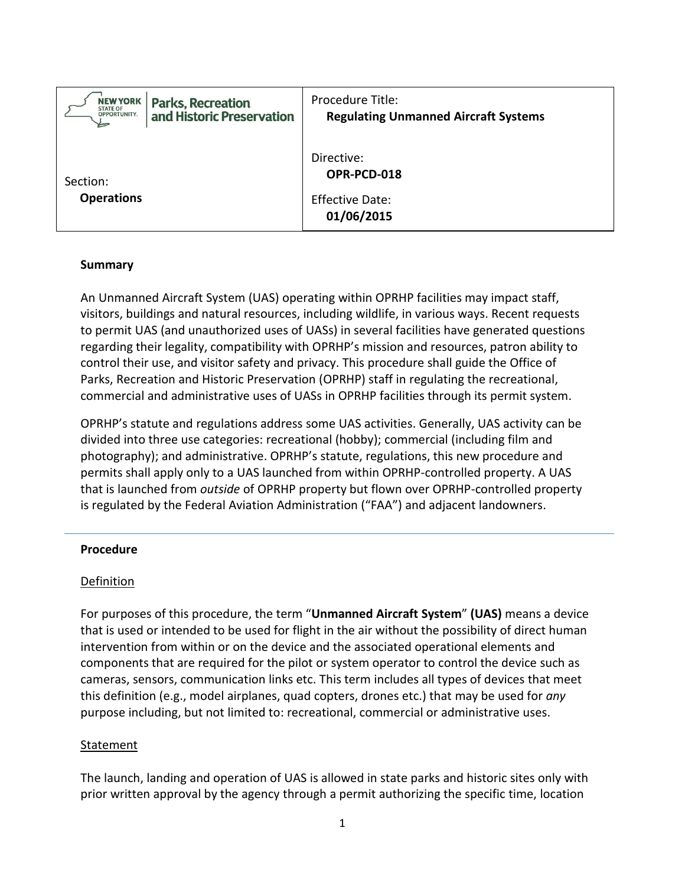| <b>NEW YORK</b>               | <b>Parks, Recreation</b>  | Procedure Title:                                                  |
|-------------------------------|---------------------------|-------------------------------------------------------------------|
| STATE OF<br>OPPORTUNITY.      | and Historic Preservation | <b>Regulating Unmanned Aircraft Systems</b>                       |
| Section:<br><b>Operations</b> |                           | Directive:<br>OPR-PCD-018<br><b>Effective Date:</b><br>01/06/2015 |

### **Summary**

An Unmanned Aircraft System (UAS) operating within OPRHP facilities may impact staff, visitors, buildings and natural resources, including wildlife, in various ways. Recent requests to permit UAS (and unauthorized uses of UASs) in several facilities have generated questions regarding their legality, compatibility with OPRHP's mission and resources, patron ability to control their use, and visitor safety and privacy. This procedure shall guide the Office of Parks, Recreation and Historic Preservation (OPRHP) staff in regulating the recreational, commercial and administrative uses of UASs in OPRHP facilities through its permit system.

OPRHP's statute and regulations address some UAS activities. Generally, UAS activity can be divided into three use categories: recreational (hobby); commercial (including film and photography); and administrative. OPRHP's statute, regulations, this new procedure and permits shall apply only to a UAS launched from within OPRHP-controlled property. A UAS that is launched from *outside* of OPRHP property but flown over OPRHP-controlled property is regulated by the Federal Aviation Administration ("FAA") and adjacent landowners.

### **Procedure**

### Definition

For purposes of this procedure, the term "**Unmanned Aircraft System**" **(UAS)** means a device that is used or intended to be used for flight in the air without the possibility of direct human intervention from within or on the device and the associated operational elements and components that are required for the pilot or system operator to control the device such as cameras, sensors, communication links etc. This term includes all types of devices that meet this definition (e.g., model airplanes, quad copters, drones etc.) that may be used for *any* purpose including, but not limited to: recreational, commercial or administrative uses.

### **Statement**

The launch, landing and operation of UAS is allowed in state parks and historic sites only with prior written approval by the agency through a permit authorizing the specific time, location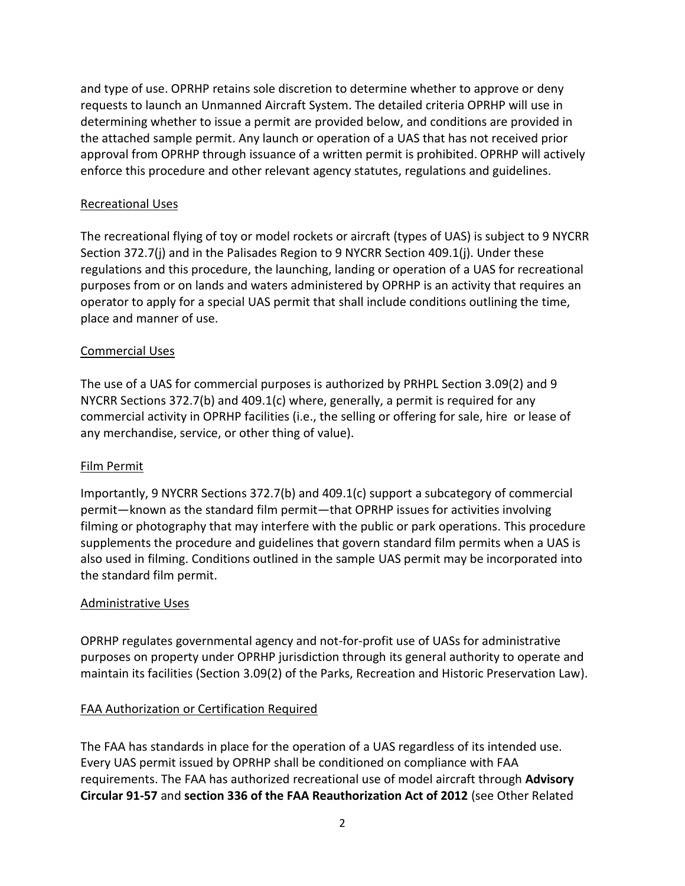and type of use. OPRHP retains sole discretion to determine whether to approve or deny requests to launch an Unmanned Aircraft System. The detailed criteria OPRHP will use in determining whether to issue a permit are provided below, and conditions are provided in the attached sample permit. Any launch or operation of a UAS that has not received prior approval from OPRHP through issuance of a written permit is prohibited. OPRHP will actively enforce this procedure and other relevant agency statutes, regulations and guidelines.

### Recreational Uses

The recreational flying of toy or model rockets or aircraft (types of UAS) is subject to 9 NYCRR Section 372.7(j) and in the Palisades Region to 9 NYCRR Section 409.1(j). Under these regulations and this procedure, the launching, landing or operation of a UAS for recreational purposes from or on lands and waters administered by OPRHP is an activity that requires an operator to apply for a special UAS permit that shall include conditions outlining the time, place and manner of use.

### Commercial Uses

The use of a UAS for commercial purposes is authorized by PRHPL Section 3.09(2) and 9 NYCRR Sections 372.7(b) and 409.1(c) where, generally, a permit is required for any commercial activity in OPRHP facilities (i.e., the selling or offering for sale, hire or lease of any merchandise, service, or other thing of value).

### Film Permit

Importantly, 9 NYCRR Sections 372.7(b) and 409.1(c) support a subcategory of commercial permit—known as the standard film permit—that OPRHP issues for activities involving filming or photography that may interfere with the public or park operations. This procedure supplements the procedure and guidelines that govern standard film permits when a UAS is also used in filming. Conditions outlined in the sample UAS permit may be incorporated into the standard film permit.

## Administrative Uses

OPRHP regulates governmental agency and not-for-profit use of UASs for administrative purposes on property under OPRHP jurisdiction through its general authority to operate and maintain its facilities (Section 3.09(2) of the Parks, Recreation and Historic Preservation Law).

## FAA Authorization or Certification Required

The FAA has standards in place for the operation of a UAS regardless of its intended use. Every UAS permit issued by OPRHP shall be conditioned on compliance with FAA requirements. The FAA has authorized recreational use of model aircraft through **Advisory Circular 91-57** and **section 336 of the FAA Reauthorization Act of 2012** (see Other Related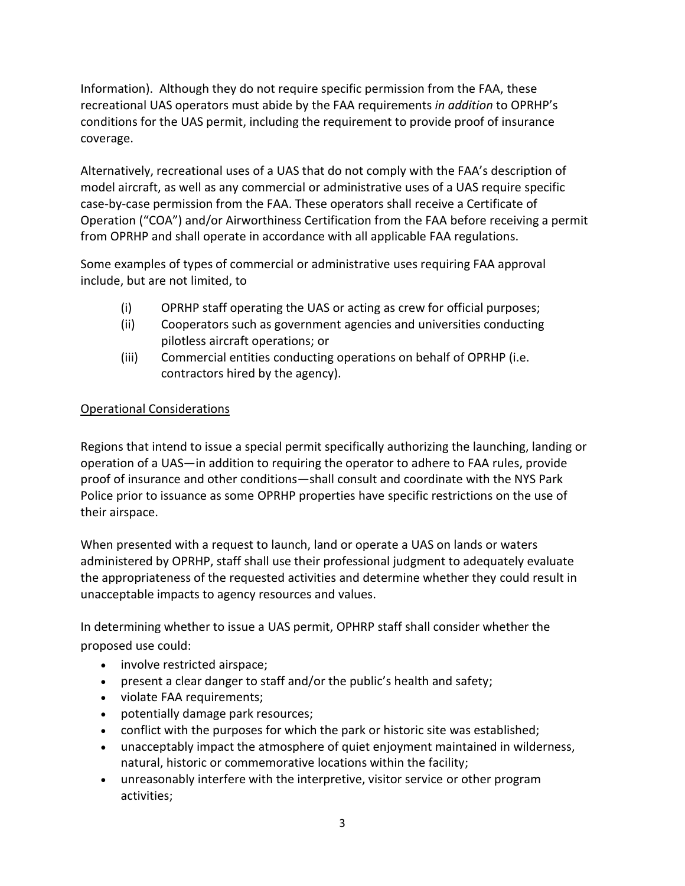Information). Although they do not require specific permission from the FAA, these recreational UAS operators must abide by the FAA requirements *in addition* to OPRHP's conditions for the UAS permit, including the requirement to provide proof of insurance coverage.

Alternatively, recreational uses of a UAS that do not comply with the FAA's description of model aircraft, as well as any commercial or administrative uses of a UAS require specific case-by-case permission from the FAA. These operators shall receive a Certificate of Operation ("COA") and/or Airworthiness Certification from the FAA before receiving a permit from OPRHP and shall operate in accordance with all applicable FAA regulations.

Some examples of types of commercial or administrative uses requiring FAA approval include, but are not limited, to

- (i) OPRHP staff operating the UAS or acting as crew for official purposes;
- (ii) Cooperators such as government agencies and universities conducting pilotless aircraft operations; or
- (iii) Commercial entities conducting operations on behalf of OPRHP (i.e. contractors hired by the agency).

# Operational Considerations

Regions that intend to issue a special permit specifically authorizing the launching, landing or operation of a UAS—in addition to requiring the operator to adhere to FAA rules, provide proof of insurance and other conditions—shall consult and coordinate with the NYS Park Police prior to issuance as some OPRHP properties have specific restrictions on the use of their airspace.

When presented with a request to launch, land or operate a UAS on lands or waters administered by OPRHP, staff shall use their professional judgment to adequately evaluate the appropriateness of the requested activities and determine whether they could result in unacceptable impacts to agency resources and values.

In determining whether to issue a UAS permit, OPHRP staff shall consider whether the proposed use could:

- involve restricted airspace;
- present a clear danger to staff and/or the public's health and safety;
- violate FAA requirements;
- potentially damage park resources;
- conflict with the purposes for which the park or historic site was established;
- unacceptably impact the atmosphere of quiet enjoyment maintained in wilderness, natural, historic or commemorative locations within the facility;
- unreasonably interfere with the interpretive, visitor service or other program activities;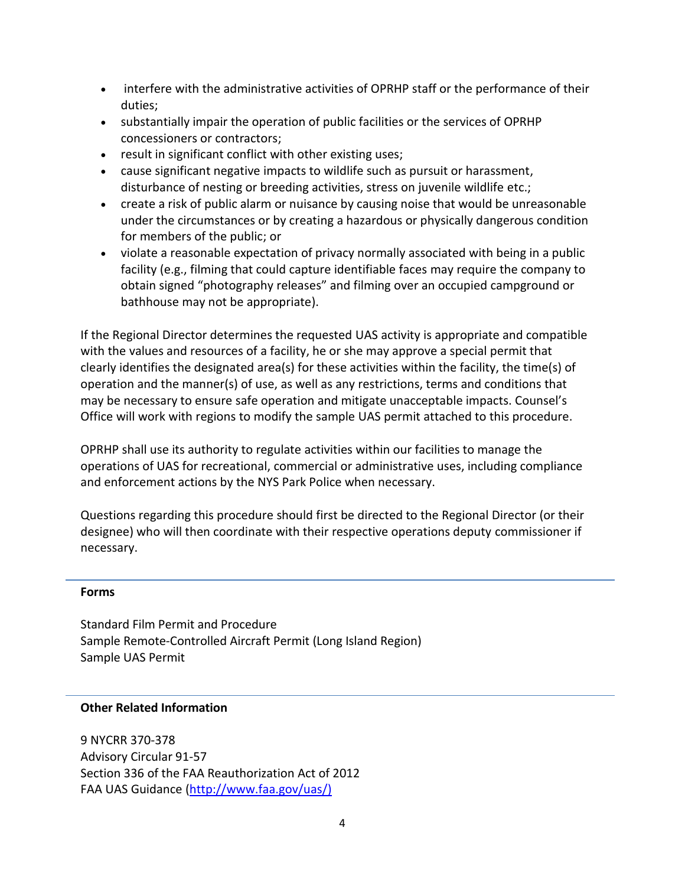- interfere with the administrative activities of OPRHP staff or the performance of their duties;
- substantially impair the operation of public facilities or the services of OPRHP concessioners or contractors;
- result in significant conflict with other existing uses;
- cause significant negative impacts to wildlife such as pursuit or harassment, disturbance of nesting or breeding activities, stress on juvenile wildlife etc.;
- create a risk of public alarm or nuisance by causing noise that would be unreasonable under the circumstances or by creating a hazardous or physically dangerous condition for members of the public; or
- violate a reasonable expectation of privacy normally associated with being in a public facility (e.g., filming that could capture identifiable faces may require the company to obtain signed "photography releases" and filming over an occupied campground or bathhouse may not be appropriate).

If the Regional Director determines the requested UAS activity is appropriate and compatible with the values and resources of a facility, he or she may approve a special permit that clearly identifies the designated area(s) for these activities within the facility, the time(s) of operation and the manner(s) of use, as well as any restrictions, terms and conditions that may be necessary to ensure safe operation and mitigate unacceptable impacts. Counsel's Office will work with regions to modify the sample UAS permit attached to this procedure.

OPRHP shall use its authority to regulate activities within our facilities to manage the operations of UAS for recreational, commercial or administrative uses, including compliance and enforcement actions by the NYS Park Police when necessary.

Questions regarding this procedure should first be directed to the Regional Director (or their designee) who will then coordinate with their respective operations deputy commissioner if necessary.

### **Forms**

Standard Film Permit and Procedure Sample Remote-Controlled Aircraft Permit (Long Island Region) Sample UAS Permit

### **Other Related Information**

9 NYCRR 370-378 Advisory Circular 91-57 Section 336 of the FAA Reauthorization Act of 2012 FAA UAS Guidance [\(http://www.faa.gov/uas/\)](http://www.faa.gov/uas/)